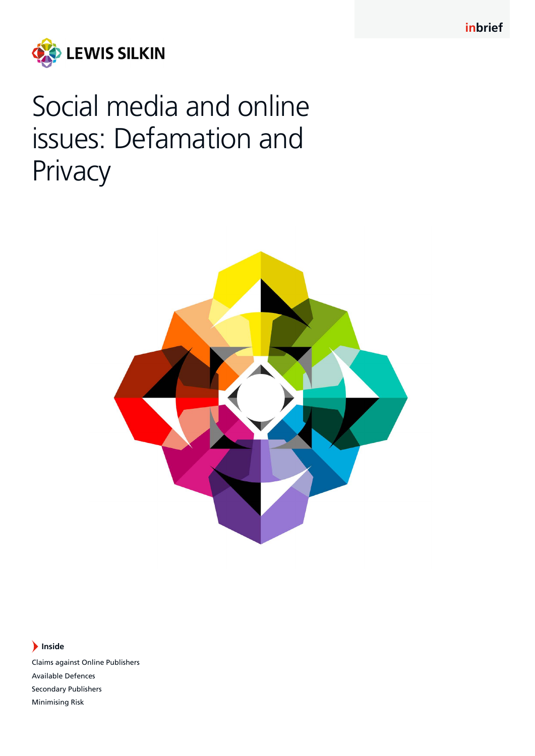

Social media and online issues: Defamation and Privacy



## **Inside**

Claims against Online Publishers Available Defences Secondary Publishers Minimising Risk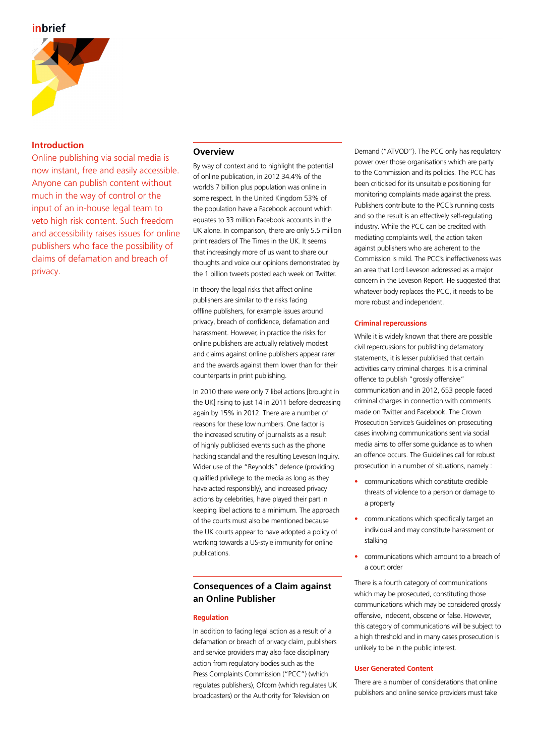

### **Introduction**

Online publishing via social media is now instant, free and easily accessible. Anyone can publish content without much in the way of control or the input of an in-house legal team to veto high risk content. Such freedom and accessibility raises issues for online publishers who face the possibility of claims of defamation and breach of privacy.

### **Overview**

By way of context and to highlight the potential of online publication, in 2012 34.4% of the world's 7 billion plus population was online in some respect. In the United Kingdom 53% of the population have a Facebook account which equates to 33 million Facebook accounts in the UK alone. In comparison, there are only 5.5 million print readers of The Times in the UK. It seems that increasingly more of us want to share our thoughts and voice our opinions demonstrated by the 1 billion tweets posted each week on Twitter.

In theory the legal risks that affect online publishers are similar to the risks facing offline publishers, for example issues around privacy, breach of confidence, defamation and harassment. However, in practice the risks for online publishers are actually relatively modest and claims against online publishers appear rarer and the awards against them lower than for their counterparts in print publishing.

In 2010 there were only 7 libel actions [brought in the UK] rising to just 14 in 2011 before decreasing again by 15% in 2012. There are a number of reasons for these low numbers. One factor is the increased scrutiny of journalists as a result of highly publicised events such as the phone hacking scandal and the resulting Leveson Inquiry. Wider use of the "Reynolds" defence (providing qualified privilege to the media as long as they have acted responsibly), and increased privacy actions by celebrities, have played their part in keeping libel actions to a minimum. The approach of the courts must also be mentioned because the UK courts appear to have adopted a policy of working towards a US-style immunity for online publications.

# **Consequences of a Claim against an Online Publisher**

#### **Regulation**

In addition to facing legal action as a result of a defamation or breach of privacy claim, publishers and service providers may also face disciplinary action from regulatory bodies such as the Press Complaints Commission ("PCC") (which regulates publishers), Ofcom (which regulates UK broadcasters) or the Authority for Television on

Demand ("ATVOD"). The PCC only has regulatory power over those organisations which are party to the Commission and its policies. The PCC has been criticised for its unsuitable positioning for monitoring complaints made against the press. Publishers contribute to the PCC's running costs and so the result is an effectively self-regulating industry. While the PCC can be credited with mediating complaints well, the action taken against publishers who are adherent to the Commission is mild. The PCC's ineffectiveness was an area that Lord Leveson addressed as a major concern in the Leveson Report. He suggested that whatever body replaces the PCC, it needs to be more robust and independent.

### **Criminal repercussions**

While it is widely known that there are possible civil repercussions for publishing defamatory statements, it is lesser publicised that certain activities carry criminal charges. It is a criminal offence to publish "grossly offensive" communication and in 2012, 653 people faced criminal charges in connection with comments made on Twitter and Facebook. The Crown Prosecution Service's Guidelines on prosecuting cases involving communications sent via social media aims to offer some guidance as to when an offence occurs. The Guidelines call for robust prosecution in a number of situations, namely :

- communications which constitute credible threats of violence to a person or damage to a property
- communications which specifically target an individual and may constitute harassment or stalking
- communications which amount to a breach of a court order

There is a fourth category of communications which may be prosecuted, constituting those communications which may be considered grossly offensive, indecent, obscene or false. However, this category of communications will be subject to a high threshold and in many cases prosecution is unlikely to be in the public interest.

#### **User Generated Content**

There are a number of considerations that online publishers and online service providers must take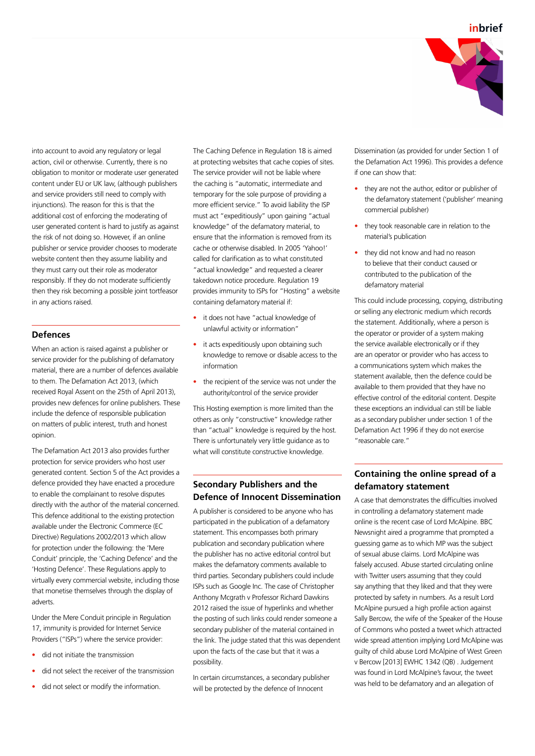

into account to avoid any regulatory or legal action, civil or otherwise. Currently, there is no obligation to monitor or moderate user generated content under EU or UK law, (although publishers and service providers still need to comply with injunctions). The reason for this is that the additional cost of enforcing the moderating of user generated content is hard to justify as against the risk of not doing so. However, if an online publisher or service provider chooses to moderate website content then they assume liability and they must carry out their role as moderator responsibly. If they do not moderate sufficiently then they risk becoming a possible joint tortfeasor in any actions raised.

## **Defences**

When an action is raised against a publisher or service provider for the publishing of defamatory material, there are a number of defences available to them. The Defamation Act 2013, (which received Royal Assent on the 25th of April 2013), provides new defences for online publishers. These include the defence of responsible publication on matters of public interest, truth and honest opinion.

The Defamation Act 2013 also provides further protection for service providers who host user generated content. Section 5 of the Act provides a defence provided they have enacted a procedure to enable the complainant to resolve disputes directly with the author of the material concerned. This defence additional to the existing protection available under the Electronic Commerce (EC Directive) Regulations 2002/2013 which allow for protection under the following: the 'Mere Conduit' principle, the 'Caching Defence' and the 'Hosting Defence'. These Regulations apply to virtually every commercial website, including those that monetise themselves through the display of adverts.

Under the Mere Conduit principle in Regulation 17, immunity is provided for Internet Service Providers ("ISPs") where the service provider:

- did not initiate the transmission
- did not select the receiver of the transmission
- did not select or modify the information.

The Caching Defence in Regulation 18 is aimed at protecting websites that cache copies of sites. The service provider will not be liable where the caching is "automatic, intermediate and temporary for the sole purpose of providing a more efficient service." To avoid liability the ISP must act "expeditiously" upon gaining "actual knowledge" of the defamatory material, to ensure that the information is removed from its cache or otherwise disabled. In 2005 'Yahoo!' called for clarification as to what constituted "actual knowledge" and requested a clearer takedown notice procedure. Regulation 19 provides immunity to ISPs for "Hosting" a website containing defamatory material if:

- it does not have "actual knowledge of unlawful activity or information"
- it acts expeditiously upon obtaining such knowledge to remove or disable access to the information
- the recipient of the service was not under the authority/control of the service provider

This Hosting exemption is more limited than the others as only "constructive" knowledge rather than "actual" knowledge is required by the host. There is unfortunately very little guidance as to what will constitute constructive knowledge.

## **Secondary Publishers and the Defence of Innocent Dissemination**

A publisher is considered to be anyone who has participated in the publication of a defamatory statement. This encompasses both primary publication and secondary publication where the publisher has no active editorial control but makes the defamatory comments available to third parties. Secondary publishers could include ISPs such as Google Inc. The case of Christopher Anthony Mcgrath v Professor Richard Dawkins 2012 raised the issue of hyperlinks and whether the posting of such links could render someone a secondary publisher of the material contained in the link. The judge stated that this was dependent upon the facts of the case but that it was a possibility.

In certain circumstances, a secondary publisher will be protected by the defence of Innocent

Dissemination (as provided for under Section 1 of the Defamation Act 1996). This provides a defence if one can show that:

- they are not the author, editor or publisher of the defamatory statement ('publisher' meaning commercial publisher)
- they took reasonable care in relation to the material's publication
- they did not know and had no reason to believe that their conduct caused or contributed to the publication of the defamatory material

This could include processing, copying, distributing or selling any electronic medium which records the statement. Additionally, where a person is the operator or provider of a system making the service available electronically or if they are an operator or provider who has access to a communications system which makes the statement available, then the defence could be available to them provided that they have no effective control of the editorial content. Despite these exceptions an individual can still be liable as a secondary publisher under section 1 of the Defamation Act 1996 if they do not exercise "reasonable care."

## **Containing the online spread of a defamatory statement**

A case that demonstrates the difficulties involved in controlling a defamatory statement made online is the recent case of Lord McAlpine. BBC Newsnight aired a programme that prompted a guessing game as to which MP was the subject of sexual abuse claims. Lord McAlpine was falsely accused. Abuse started circulating online with Twitter users assuming that they could say anything that they liked and that they were protected by safety in numbers. As a result Lord McAlpine pursued a high profile action against Sally Bercow, the wife of the Speaker of the House of Commons who posted a tweet which attracted wide spread attention implying Lord McAlpine was guilty of child abuse Lord McAlpine of West Green v Bercow [2013] EWHC 1342 (QB) . Judgement was found in Lord McAlpine's favour, the tweet was held to be defamatory and an allegation of